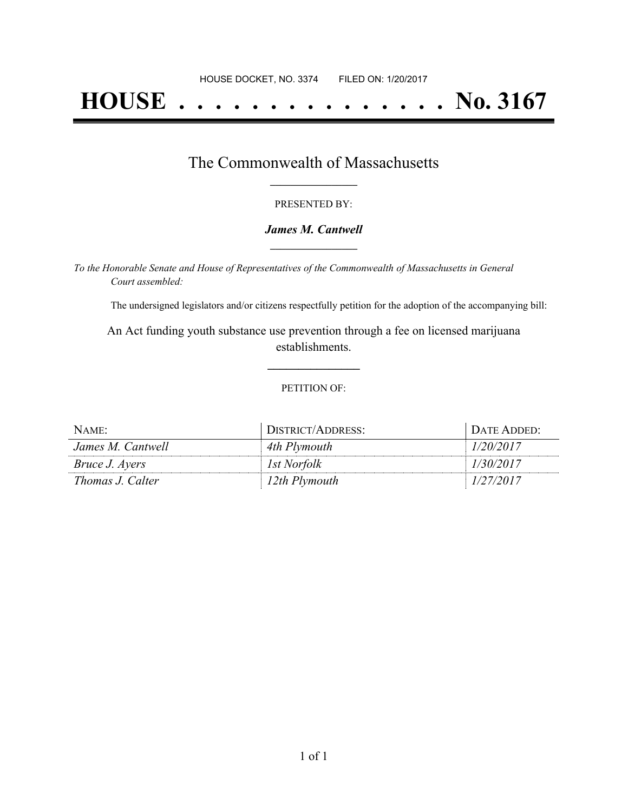# **HOUSE . . . . . . . . . . . . . . . No. 3167**

### The Commonwealth of Massachusetts **\_\_\_\_\_\_\_\_\_\_\_\_\_\_\_\_\_**

#### PRESENTED BY:

#### *James M. Cantwell* **\_\_\_\_\_\_\_\_\_\_\_\_\_\_\_\_\_**

*To the Honorable Senate and House of Representatives of the Commonwealth of Massachusetts in General Court assembled:*

The undersigned legislators and/or citizens respectfully petition for the adoption of the accompanying bill:

An Act funding youth substance use prevention through a fee on licensed marijuana establishments.

**\_\_\_\_\_\_\_\_\_\_\_\_\_\_\_**

#### PETITION OF:

| NAME:                 | DISTRICT/ADDRESS: | DATE ADDED: |
|-----------------------|-------------------|-------------|
| James M. Cantwell     | 4th Plymouth      | 1/20/2017   |
| <i>Bruce J. Ayers</i> | 1st Norfolk       | 1/30/2017   |
| Thomas J. Calter      | 12th Plymouth     | 1/27/2017   |